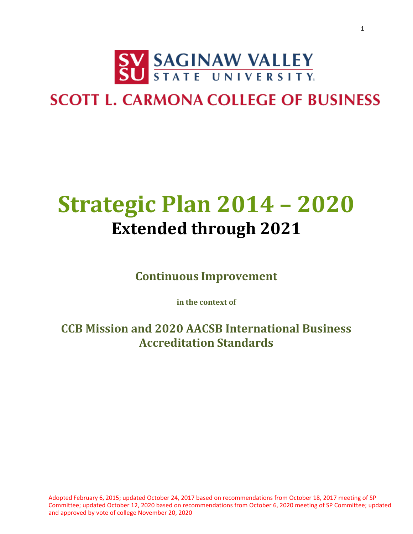

### **SCOTT L. CARMONA COLLEGE OF BUSINESS**

# **Strategic Plan 2014 – 2020 Extended through 2021**

**Continuous Improvement**

**in the context of**

**CCB Mission and 2020 AACSB International Business Accreditation Standards**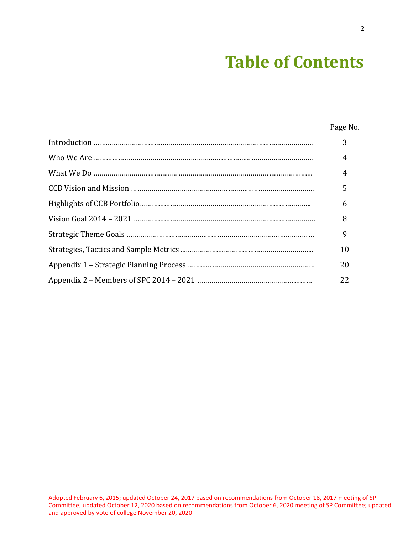## **Table of Contents**

Page No.

| 3              |
|----------------|
| $\overline{4}$ |
| $\overline{4}$ |
| 5              |
| 6              |
| 8              |
| 9              |
| 10             |
| 20             |
| 22             |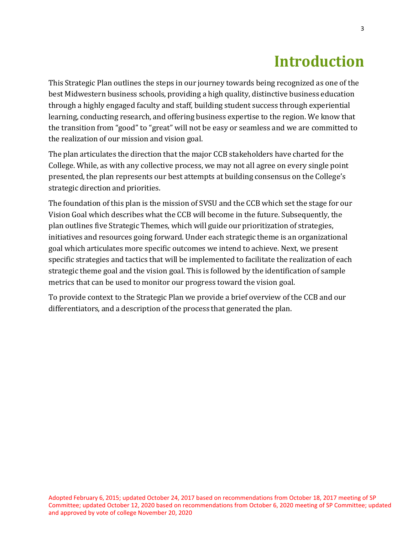### **Introduction**

This Strategic Plan outlines the steps in our journey towards being recognized as one of the best Midwestern business schools, providing a high quality, distinctive business education through a highly engaged faculty and staff, building student success through experiential learning, conducting research, and offering business expertise to the region. We know that the transition from "good" to "great" will not be easy or seamless and we are committed to the realization of our mission and vision goal.

The plan articulates the direction that the major CCB stakeholders have charted for the College. While, as with any collective process, we may not all agree on every single point presented, the plan represents our best attempts at building consensus on the College's strategic direction and priorities.

The foundation of this plan is the mission of SVSU and the CCB which set the stage for our Vision Goal which describes what the CCB will become in the future. Subsequently, the plan outlines five Strategic Themes, which will guide our prioritization of strategies, initiatives and resources going forward. Under each strategic theme is an organizational goal which articulates more specific outcomes we intend to achieve. Next, we present specific strategies and tactics that will be implemented to facilitate the realization of each strategic theme goal and the vision goal. This is followed by the identification of sample metrics that can be used to monitor our progress toward the vision goal.

To provide context to the Strategic Plan we provide a brief overview of the CCB and our differentiators, and a description of the process that generated the plan.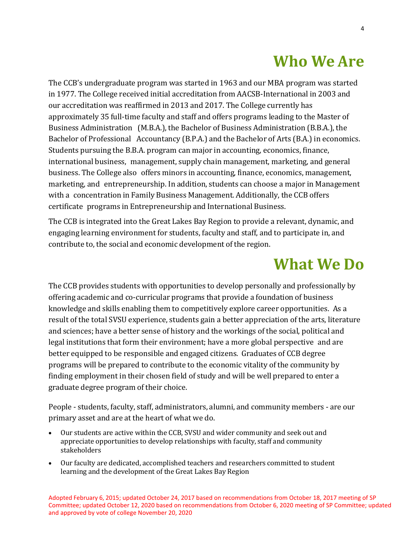## **Who We Are**

The CCB's undergraduate program was started in 1963 and our MBA program was started in 1977. The College received initial accreditation from AACSB-International in 2003 and our accreditation was reaffirmed in 2013 and 2017. The College currently has approximately 35 full-time faculty and staff and offers programs leading to the Master of Business Administration (M.B.A.), the Bachelor of Business Administration (B.B.A.), the Bachelor of Professional Accountancy (B.P.A.) and the Bachelor of Arts (B.A.) in economics. Students pursuing the B.B.A. program can major in accounting, economics, finance, international business, management, supply chain management, marketing, and general business. The College also offers minors in accounting, finance, economics, management, marketing, and entrepreneurship. In addition, students can choose a major in Management with a concentration in Family Business Management. Additionally, the CCB offers certificate programs in Entrepreneurship and International Business.

The CCB is integrated into the Great Lakes Bay Region to provide a relevant, dynamic, and engaging learning environment for students, faculty and staff, and to participate in, and contribute to, the social and economic development of the region.

### **What We Do**

The CCB provides students with opportunities to develop personally and professionally by offering academic and co-curricular programs that provide a foundation of business knowledge and skills enabling them to competitively explore career opportunities. As a result of the total SVSU experience, students gain a better appreciation of the arts, literature and sciences; have a better sense of history and the workings of the social, political and legal institutions that form their environment; have a more global perspective and are better equipped to be responsible and engaged citizens. Graduates of CCB degree programs will be prepared to contribute to the economic vitality of the community by finding employment in their chosen field of study and will be well prepared to enter a graduate degree program of their choice.

People - students, faculty, staff, administrators, alumni, and community members - are our primary asset and are at the heart of what we do.

- Our students are active within the CCB, SVSU and wider community and seek out and appreciate opportunities to develop relationships with faculty, staff and community stakeholders
- Our faculty are dedicated, accomplished teachers and researchers committed to student learning and the development of the Great Lakes Bay Region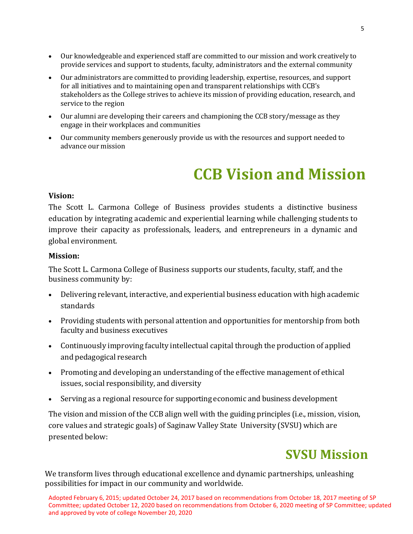- Our knowledgeable and experienced staff are committed to our mission and work creatively to provide services and support to students, faculty, administrators and the external community
- Our administrators are committed to providing leadership, expertise, resources, and support for all initiatives and to maintaining open and transparent relationships with CCB's stakeholders as the College strives to achieve its mission of providing education, research, and service to the region
- Our alumni are developing their careers and championing the CCB story/message as they engage in their workplaces and communities
- Our community members generously provide us with the resources and support needed to advance our mission

### **CCB Vision and Mission**

#### **Vision:**

The Scott L. Carmona College of Business provides students a distinctive business education by integrating academic and experiential learning while challenging students to improve their capacity as professionals, leaders, and entrepreneurs in a dynamic and global environment.

#### **Mission:**

The Scott L. Carmona College of Business supports our students, faculty, staff, and the business community by:

- Delivering relevant, interactive, and experiential business education with high academic standards
- Providing students with personal attention and opportunities for mentorship from both faculty and business executives
- Continuously improving faculty intellectual capital through the production of applied and pedagogical research
- Promoting and developing an understanding of the effective management of ethical issues, social responsibility, and diversity
- Serving as a regional resource for supporting economic and business development

The vision and mission of the CCB align well with the guiding principles (i.e., mission, vision, core values and strategic goals) of Saginaw Valley State University (SVSU) which are presented below:

### **SVSU Mission**

We transform lives through educational excellence and dynamic partnerships, unleashing possibilities for impact in our community and worldwide.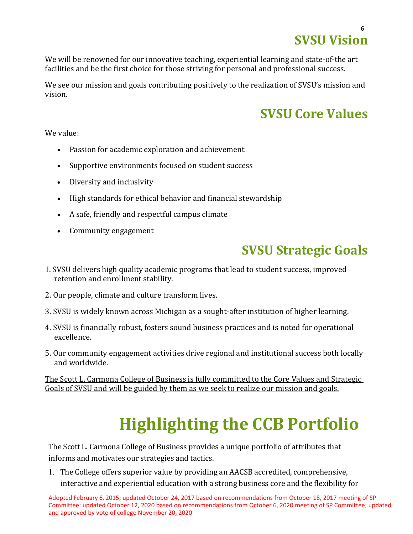## **SVSU Vision**

We will be renowned for our innovative teaching, experiential learning and state-of-the art facilities and be the first choice for those striving for personal and professional success.

We see our mission and goals contributing positively to the realization of SVSU's mission and vision.

### **SVSU Core Values**

We value:

- Passion for academic exploration and achievement
- Supportive environments focused on student success
- Diversity and inclusivity
- High standards for ethical behavior and financial stewardship
- A safe, friendly and respectful campus climate
- Community engagement

### **SVSU Strategic Goals**

- 1. SVSU delivers high quality academic programs that lead to student success, improved retention and enrollment stability.
- 2. Our people, climate and culture transform lives.
- 3. SVSU is widely known across Michigan as a sought-after institution of higher learning.
- 4. SVSU is financially robust, fosters sound business practices and is noted for operational excellence.
- 5. Our community engagement activities drive regional and institutional success both locally and worldwide.

The Scott L. Carmona College of Business is fully committed to the Core Values and Strategic Goals of SVSU and will be guided by them as we seek to realize our mission and goals.

# **Highlighting the CCB Portfolio**

The Scott L. Carmona College of Business provides a unique portfolio of attributes that informs and motivates our strategies and tactics.

1. The College offers superior value by providing an AACSB accredited, comprehensive, interactive and experiential education with a strong business core and the flexibility for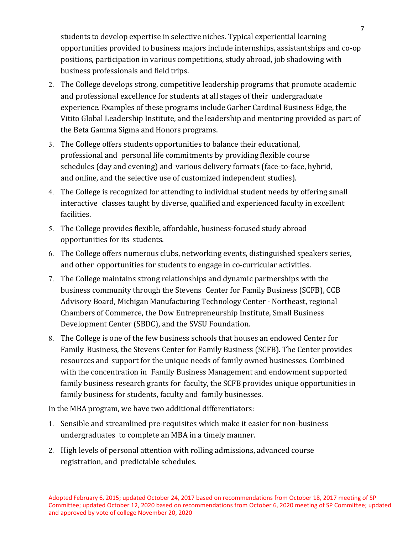students to develop expertise in selective niches. Typical experiential learning opportunities provided to business majors include internships, assistantships and co-op positions, participation in various competitions, study abroad, job shadowing with business professionals and field trips.

- 2. The College develops strong, competitive leadership programs that promote academic and professional excellence for students at all stages of their undergraduate experience. Examples of these programs include Garber Cardinal Business Edge, the Vitito Global Leadership Institute, and the leadership and mentoring provided as part of the Beta Gamma Sigma and Honors programs.
- 3. The College offers students opportunities to balance their educational, professional and personal life commitments by providing flexible course schedules (day and evening) and various delivery formats (face-to-face, hybrid, and online, and the selective use of customized independent studies).
- 4. The College is recognized for attending to individual student needs by offering small interactive classes taught by diverse, qualified and experienced faculty in excellent facilities.
- 5. The College provides flexible, affordable, business-focused study abroad opportunities for its students.
- 6. The College offers numerous clubs, networking events, distinguished speakers series, and other opportunities for students to engage in co-curricular activities.
- 7. The College maintains strong relationships and dynamic partnerships with the business community through the Stevens Center for Family Business (SCFB), CCB Advisory Board, Michigan Manufacturing Technology Center - Northeast, regional Chambers of Commerce, the Dow Entrepreneurship Institute, Small Business Development Center (SBDC), and the SVSU Foundation.
- 8. The College is one of the few business schools that houses an endowed Center for Family Business, the Stevens Center for Family Business (SCFB). The Center provides resources and support for the unique needs of family owned businesses. Combined with the concentration in Family Business Management and endowment supported family business research grants for faculty, the SCFB provides unique opportunities in family business for students, faculty and family businesses.

In the MBA program, we have two additional differentiators:

- 1. Sensible and streamlined pre-requisites which make it easier for non-business undergraduates to complete an MBA in a timely manner.
- 2. High levels of personal attention with rolling admissions, advanced course registration, and predictable schedules.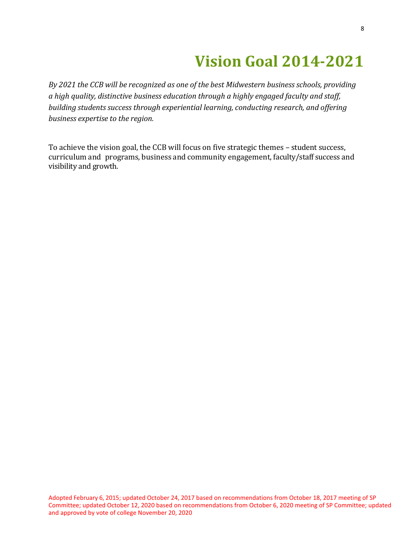### **Vision Goal 2014-2021**

*By 2021 the CCB will be recognized as one of the best Midwestern business schools, providing a high quality, distinctive business education through a highly engaged faculty and staff, building students success through experiential learning, conducting research, and offering business expertise to the region.*

To achieve the vision goal, the CCB will focus on five strategic themes – student success, curriculum and programs, business and community engagement, faculty/staff success and visibility and growth.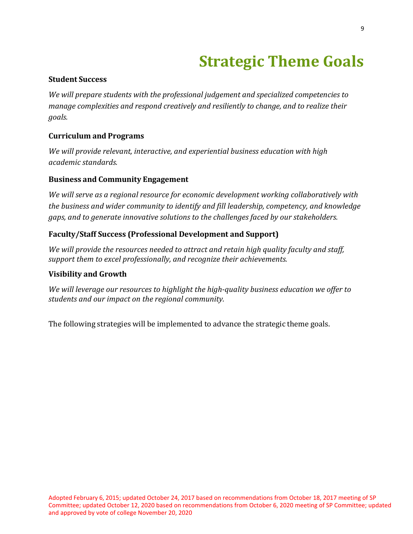## **Strategic Theme Goals**

### **Student Success**

*We will prepare students with the professional judgement and specialized competencies to manage complexities and respond creatively and resiliently to change, and to realize their goals.*

### **Curriculum and Programs**

*We will provide relevant, interactive, and experiential business education with high academic standards.*

#### **Business and Community Engagement**

*We will serve as a regional resource for economic development working collaboratively with the business and wider community to identify and fill leadership, competency, and knowledge gaps, and to generate innovative solutions to the challenges faced by our stakeholders.*

### **Faculty/Staff Success (Professional Development and Support)**

*We will provide the resources needed to attract and retain high quality faculty and staff, support them to excel professionally, and recognize their achievements.*

#### **Visibility and Growth**

*We will leverage our resources to highlight the high-quality business education we offer to students and our impact on the regional community.*

The following strategies will be implemented to advance the strategic theme goals.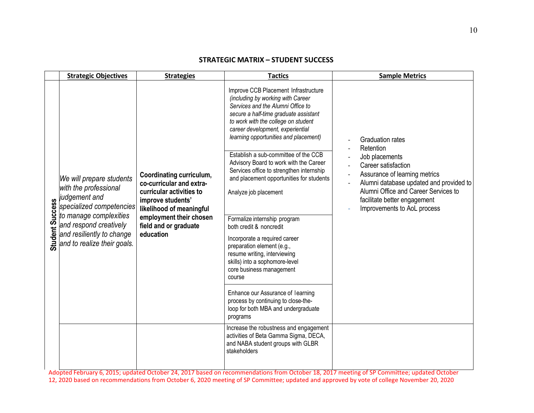#### **STRATEGIC MATRIX – STUDENT SUCCESS**

| <b>Strategic Objectives</b>                                                                                                                                                                                                         | <b>Strategies</b>                                                                                                                                                                                  | <b>Tactics</b>                                                                                                                                                                                                                                                                                                                                                                                                                                                                                                                                                                                                                                                                                         | <b>Sample Metrics</b>                                                                                                                                                                                                                                            |
|-------------------------------------------------------------------------------------------------------------------------------------------------------------------------------------------------------------------------------------|----------------------------------------------------------------------------------------------------------------------------------------------------------------------------------------------------|--------------------------------------------------------------------------------------------------------------------------------------------------------------------------------------------------------------------------------------------------------------------------------------------------------------------------------------------------------------------------------------------------------------------------------------------------------------------------------------------------------------------------------------------------------------------------------------------------------------------------------------------------------------------------------------------------------|------------------------------------------------------------------------------------------------------------------------------------------------------------------------------------------------------------------------------------------------------------------|
| We will prepare students<br>with the professional<br>judgement and<br>s judgement and<br>specialized competencies<br>g to manage complexities<br>and respond creatively<br>and resiliently to change<br>and to realize their goals. | Coordinating curriculum,<br>co-curricular and extra-<br>curricular activities to<br>improve students'<br>likelihood of meaningful<br>employment their chosen<br>field and or graduate<br>education | Improve CCB Placement Infrastructure<br>(including by working with Career<br>Services and the Alumni Office to<br>secure a half-time graduate assistant<br>to work with the college on student<br>career development, experiential<br>learning opportunities and placement)<br>Establish a sub-committee of the CCB<br>Advisory Board to work with the Career<br>Services office to strengthen internship<br>and placement opportunities for students<br>Analyze job placement<br>Formalize internship program<br>both credit & noncredit<br>Incorporate a required career<br>preparation element (e.g.,<br>resume writing, interviewing<br>skills) into a sophomore-level<br>core business management | <b>Graduation rates</b><br>Retention<br>Job placements<br>Career satisfaction<br>Assurance of learning metrics<br>Alumni database updated and provided to<br>Alumni Office and Career Services to<br>facilitate better engagement<br>Improvements to AoL process |
|                                                                                                                                                                                                                                     |                                                                                                                                                                                                    | course<br>Enhance our Assurance of learning<br>process by continuing to close-the-<br>loop for both MBA and undergraduate<br>programs                                                                                                                                                                                                                                                                                                                                                                                                                                                                                                                                                                  |                                                                                                                                                                                                                                                                  |
|                                                                                                                                                                                                                                     |                                                                                                                                                                                                    | Increase the robustness and engagement<br>activities of Beta Gamma Sigma, DECA,<br>and NABA student groups with GLBR<br>stakeholders                                                                                                                                                                                                                                                                                                                                                                                                                                                                                                                                                                   |                                                                                                                                                                                                                                                                  |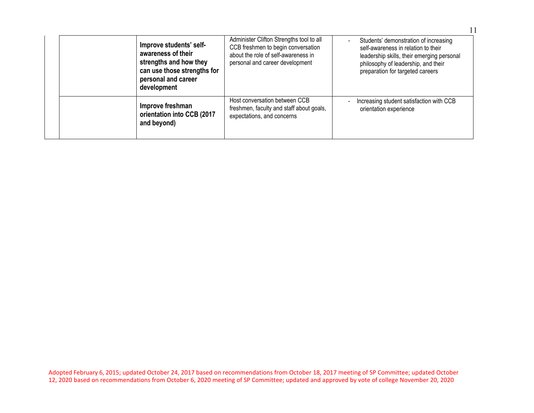|             | Improve students' self-<br>awareness of their<br>strengths and how they<br>can use those strengths for<br>personal and career<br>development | Administer Clifton Strengths tool to all<br>CCB freshmen to begin conversation<br>about the role of self-awareness in<br>personal and career development | Students' demonstration of increasing<br>self-awareness in relation to their<br>leadership skills, their emerging personal<br>philosophy of leadership, and their<br>preparation for targeted careers |
|-------------|----------------------------------------------------------------------------------------------------------------------------------------------|----------------------------------------------------------------------------------------------------------------------------------------------------------|-------------------------------------------------------------------------------------------------------------------------------------------------------------------------------------------------------|
| and beyond) | Improve freshman<br>orientation into CCB (2017                                                                                               | Host conversation between CCB<br>freshmen, faculty and staff about goals,<br>expectations, and concerns                                                  | Increasing student satisfaction with CCB<br>orientation experience                                                                                                                                    |

11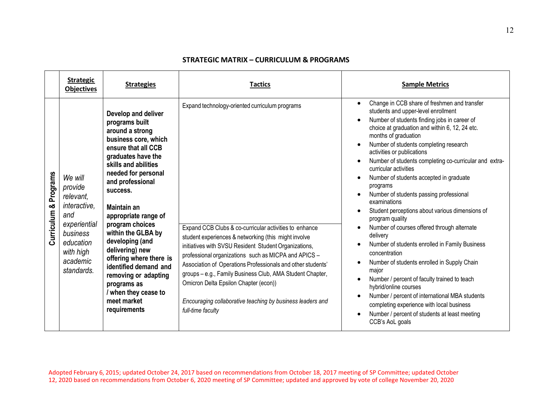#### **STRATEGIC MATRIX – CURRICULUM & PROGRAMS**

| <b>Strategic</b><br><b>Objectives</b>                                                                                                                           | <b>Strategies</b>                                                                                                                                                                                                                                                                                                                                                                                                                                                                         | Tactics                                                                                                                                                                                                                                                                                                                                                                                                                                                                                                                                   | <b>Sample Metrics</b>                                                                                                                                                                                                                                                                                                                                                                                                                                                                                                                                                                                                                                                                                                                                                                                                                                                                                                                                                                                                                                  |
|-----------------------------------------------------------------------------------------------------------------------------------------------------------------|-------------------------------------------------------------------------------------------------------------------------------------------------------------------------------------------------------------------------------------------------------------------------------------------------------------------------------------------------------------------------------------------------------------------------------------------------------------------------------------------|-------------------------------------------------------------------------------------------------------------------------------------------------------------------------------------------------------------------------------------------------------------------------------------------------------------------------------------------------------------------------------------------------------------------------------------------------------------------------------------------------------------------------------------------|--------------------------------------------------------------------------------------------------------------------------------------------------------------------------------------------------------------------------------------------------------------------------------------------------------------------------------------------------------------------------------------------------------------------------------------------------------------------------------------------------------------------------------------------------------------------------------------------------------------------------------------------------------------------------------------------------------------------------------------------------------------------------------------------------------------------------------------------------------------------------------------------------------------------------------------------------------------------------------------------------------------------------------------------------------|
| Curriculum & Programs<br>We will<br>provide<br>relevant.<br>interactive,<br>and<br>experiential<br>business<br>education<br>with high<br>academic<br>standards. | Develop and deliver<br>programs built<br>around a strong<br>business core, which<br>ensure that all CCB<br>graduates have the<br>skills and abilities<br>needed for personal<br>and professional<br>success.<br><b>Maintain an</b><br>appropriate range of<br>program choices<br>within the GLBA by<br>developing (and<br>delivering) new<br>offering where there is<br>identified demand and<br>removing or adapting<br>programs as<br>when they cease to<br>meet market<br>requirements | Expand technology-oriented curriculum programs<br>Expand CCB Clubs & co-curricular activities to enhance<br>student experiences & networking (this might involve<br>initiatives with SVSU Resident Student Organizations,<br>professional organizations such as MICPA and APICS -<br>Association of Operations Professionals and other students'<br>groups - e.g., Family Business Club, AMA Student Chapter,<br>Omicron Delta Epsilon Chapter (econ))<br>Encouraging collaborative teaching by business leaders and<br>full-time faculty | Change in CCB share of freshmen and transfer<br>$\bullet$<br>students and upper-level enrollment<br>Number of students finding jobs in career of<br>choice at graduation and within 6, 12, 24 etc.<br>months of graduation<br>Number of students completing research<br>$\bullet$<br>activities or publications<br>Number of students completing co-curricular and extra-<br>curricular activities<br>Number of students accepted in graduate<br>programs<br>Number of students passing professional<br>examinations<br>Student perceptions about various dimensions of<br>program quality<br>Number of courses offered through alternate<br>$\bullet$<br>delivery<br>Number of students enrolled in Family Business<br>concentration<br>Number of students enrolled in Supply Chain<br>$\bullet$<br>major<br>Number / percent of faculty trained to teach<br>hybrid/online courses<br>Number / percent of international MBA students<br>completing experience with local business<br>Number / percent of students at least meeting<br>CCB's AoL goals |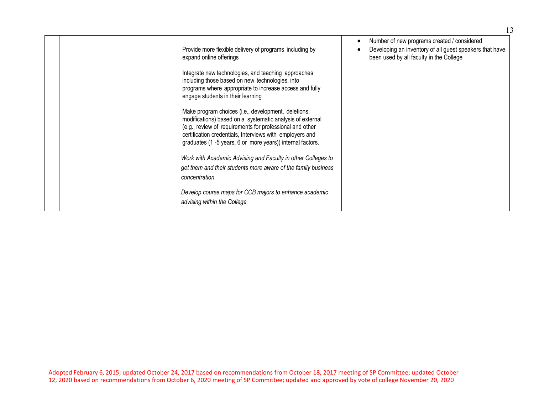|  | Provide more flexible delivery of programs including by<br>expand online offerings                                                                                                                                                                                                                     | Number of new programs created / considered<br>Developing an inventory of all guest speakers that have<br>been used by all faculty in the College |
|--|--------------------------------------------------------------------------------------------------------------------------------------------------------------------------------------------------------------------------------------------------------------------------------------------------------|---------------------------------------------------------------------------------------------------------------------------------------------------|
|  | Integrate new technologies, and teaching approaches<br>including those based on new technologies, into<br>programs where appropriate to increase access and fully<br>engage students in their learning                                                                                                 |                                                                                                                                                   |
|  | Make program choices (i.e., development, deletions,<br>modifications) based on a systematic analysis of external<br>(e.g., review of requirements for professional and other<br>certification credentials, Interviews with employers and<br>graduates (1 -5 years, 6 or more years)) internal factors. |                                                                                                                                                   |
|  | Work with Academic Advising and Faculty in other Colleges to<br>get them and their students more aware of the family business<br>concentration                                                                                                                                                         |                                                                                                                                                   |
|  | Develop course maps for CCB majors to enhance academic<br>advising within the College                                                                                                                                                                                                                  |                                                                                                                                                   |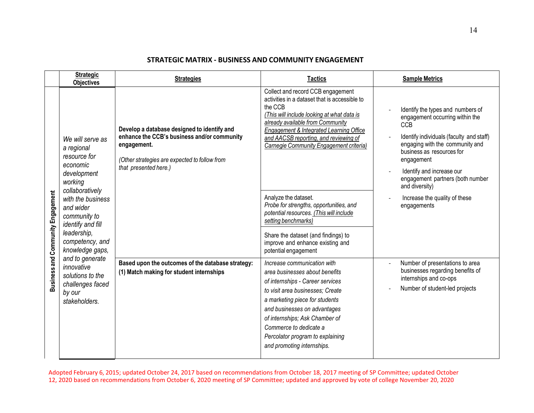#### **STRATEGIC MATRIX - BUSINESS AND COMMUNITY ENGAGEMENT**

|                                   | <b>Strategic</b><br><b>Objectives</b>                                                                                                                                                                            | <b>Strategies</b>                                                                                                                                                                   | <b>Tactics</b>                                                                                                                                                                                                                                                                                                                                                                                                                                                                                                                                         | <b>Sample Metrics</b>                                                                                                                                                                                                                                                                                                                           |
|-----------------------------------|------------------------------------------------------------------------------------------------------------------------------------------------------------------------------------------------------------------|-------------------------------------------------------------------------------------------------------------------------------------------------------------------------------------|--------------------------------------------------------------------------------------------------------------------------------------------------------------------------------------------------------------------------------------------------------------------------------------------------------------------------------------------------------------------------------------------------------------------------------------------------------------------------------------------------------------------------------------------------------|-------------------------------------------------------------------------------------------------------------------------------------------------------------------------------------------------------------------------------------------------------------------------------------------------------------------------------------------------|
| Business and Community Engagement | We will serve as<br>a regional<br>resource for<br>economic<br>development<br>working<br>collaboratively<br>with the business<br>and wider<br>community to<br>identify and fill<br>leadership,<br>competency, and | Develop a database designed to identify and<br>enhance the CCB's business and/or community<br>engagement.<br>(Other strategies are expected to follow from<br>that presented here.) | Collect and record CCB engagement<br>activities in a dataset that is accessible to<br>the CCB<br>(This will include looking at what data is<br>already available from Community<br>Engagement & Integrated Learning Office<br>and AACSB reporting, and reviewing of<br>Carnegie Community Engagement criteria)<br>Analyze the dataset.<br>Probe for strengths, opportunities, and<br>potential resources. (This will include<br>setting benchmarks)<br>Share the dataset (and findings) to<br>improve and enhance existing and<br>potential engagement | Identify the types and numbers of<br>engagement occurring within the<br><b>CCB</b><br>Identify individuals (faculty and staff)<br>engaging with the community and<br>business as resources for<br>engagement<br>Identify and increase our<br>engagement partners (both number<br>and diversity)<br>Increase the quality of these<br>engagements |
|                                   | knowledge gaps,<br>and to generate<br>innovative<br>solutions to the<br>challenges faced<br>by our<br>stakeholders.                                                                                              | Based upon the outcomes of the database strategy:<br>(1) Match making for student internships                                                                                       | Increase communication with<br>area businesses about benefits<br>of internships - Career services<br>to visit area businesses; Create<br>a marketing piece for students<br>and businesses on advantages<br>of internships; Ask Chamber of<br>Commerce to dedicate a<br>Percolator program to explaining<br>and promoting internships.                                                                                                                                                                                                                  | Number of presentations to area<br>businesses regarding benefits of<br>internships and co-ops<br>Number of student-led projects                                                                                                                                                                                                                 |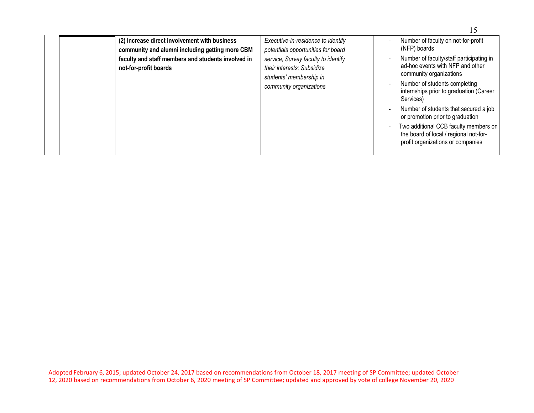| (2) Increase direct involvement with business<br>community and alumni including getting more CBM | Executive-in-residence to identify<br>potentials opportunities for board                     | Number of faculty on not-for-profit<br>(NFP) boards                                                                  |
|--------------------------------------------------------------------------------------------------|----------------------------------------------------------------------------------------------|----------------------------------------------------------------------------------------------------------------------|
| faculty and staff members and students involved in<br>not-for-profit boards                      | service; Survey faculty to identify<br>their interests; Subsidize<br>students' membership in | Number of faculty/staff participating in<br>ad-hoc events with NFP and other<br>community organizations              |
|                                                                                                  | community organizations                                                                      | Number of students completing<br>internships prior to graduation (Career<br>Services)                                |
|                                                                                                  |                                                                                              | Number of students that secured a job<br>$\overline{\phantom{a}}$<br>or promotion prior to graduation                |
|                                                                                                  |                                                                                              | Two additional CCB faculty members on<br>the board of local / regional not-for-<br>profit organizations or companies |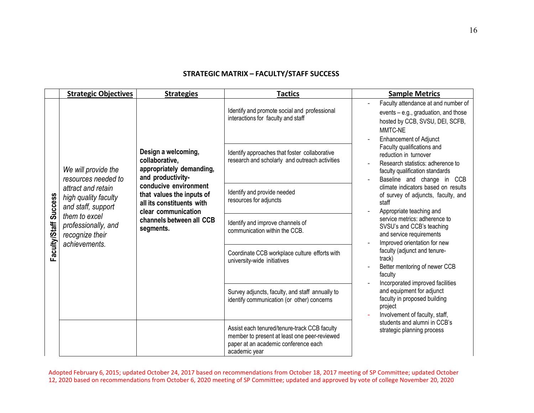#### **STRATEGIC MATRIX – FACULTY/STAFF SUCCESS**

|                       | <b>Strategic Objectives</b>                                                                                                                                                                | <b>Strategies</b>                                                                                                                                                                                                                         | <b>Tactics</b>                                                                                                                                        | <b>Sample Metrics</b>                                                                                                                                                                      |
|-----------------------|--------------------------------------------------------------------------------------------------------------------------------------------------------------------------------------------|-------------------------------------------------------------------------------------------------------------------------------------------------------------------------------------------------------------------------------------------|-------------------------------------------------------------------------------------------------------------------------------------------------------|--------------------------------------------------------------------------------------------------------------------------------------------------------------------------------------------|
|                       |                                                                                                                                                                                            |                                                                                                                                                                                                                                           | Identify and promote social and professional<br>interactions for faculty and staff                                                                    | Faculty attendance at and number of<br>events - e.g., graduation, and those<br>hosted by CCB, SVSU, DEI, SCFB,<br>MMTC-NE                                                                  |
| Faculty/Staff Success | We will provide the<br>resources needed to<br>attract and retain<br>high quality faculty<br>and staff, support<br>them to excel<br>professionally, and<br>recognize their<br>achievements. | Design a welcoming,<br>collaborative,<br>appropriately demanding,<br>and productivity-<br>conducive environment<br>that values the inputs of<br>all its constituents with<br>clear communication<br>channels between all CCB<br>segments. | Identify approaches that foster collaborative<br>research and scholarly and outreach activities                                                       | <b>Enhancement of Adjunct</b><br>Faculty qualifications and<br>reduction in turnover<br>Research statistics: adherence to<br>faculty qualification standards<br>Baseline and change in CCB |
|                       |                                                                                                                                                                                            |                                                                                                                                                                                                                                           | Identify and provide needed<br>resources for adjuncts                                                                                                 | climate indicators based on results<br>of survey of adjuncts, faculty, and<br>staff<br>Appropriate teaching and                                                                            |
|                       |                                                                                                                                                                                            |                                                                                                                                                                                                                                           | Identify and improve channels of<br>communication within the CCB.                                                                                     | service metrics: adherence to<br>SVSU's and CCB's teaching<br>and service requirements<br>Improved orientation for new                                                                     |
|                       |                                                                                                                                                                                            |                                                                                                                                                                                                                                           | Coordinate CCB workplace culture efforts with<br>university-wide initiatives                                                                          | faculty (adjunct and tenure-<br>track)<br>Better mentoring of newer CCB<br>faculty<br>Incorporated improved facilities                                                                     |
|                       |                                                                                                                                                                                            |                                                                                                                                                                                                                                           | Survey adjuncts, faculty, and staff annually to<br>identify communication (or other) concerns                                                         | and equipment for adjunct<br>faculty in proposed building<br>project<br>Involvement of faculty, staff,                                                                                     |
|                       |                                                                                                                                                                                            |                                                                                                                                                                                                                                           | Assist each tenured/tenure-track CCB faculty<br>member to present at least one peer-reviewed<br>paper at an academic conference each<br>academic year | students and alumni in CCB's<br>strategic planning process                                                                                                                                 |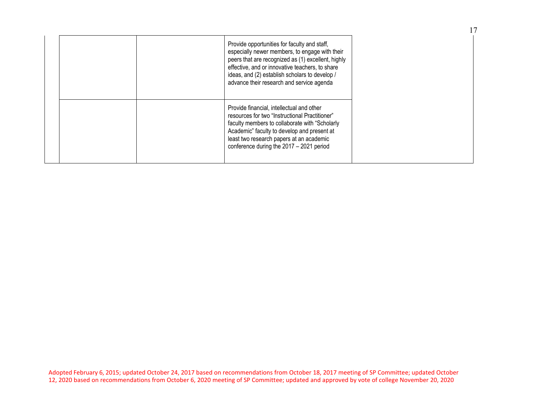|  | Provide opportunities for faculty and staff,<br>especially newer members, to engage with their<br>peers that are recognized as (1) excellent, highly<br>effective, and or innovative teachers, to share<br>ideas, and (2) establish scholars to develop /<br>advance their research and service agenda |
|--|--------------------------------------------------------------------------------------------------------------------------------------------------------------------------------------------------------------------------------------------------------------------------------------------------------|
|  | Provide financial, intellectual and other<br>resources for two "Instructional Practitioner"<br>faculty members to collaborate with "Scholarly"<br>Academic" faculty to develop and present at<br>least two research papers at an academic<br>conference during the 2017 - 2021 period                  |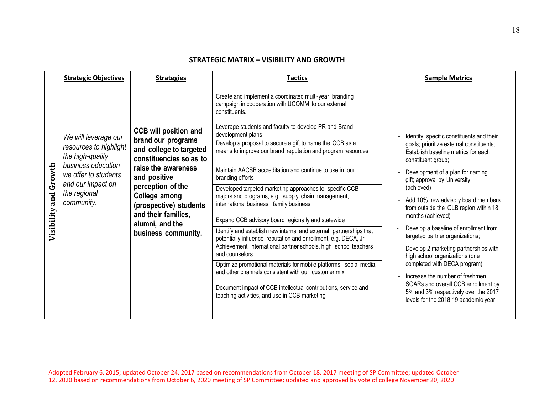#### **STRATEGIC MATRIX – VISIBILITY AND GROWTH**

|                       | <b>Strategic Objectives</b>                                                                                                                                         | <b>Strategies</b>                                                                                                                                                                                                                                                                | <b>Tactics</b>                                                                                                                                                                                                                                                                                                                                                                                                                                                                                                                                                                                                                                                                                                                                                                                                                                                                                                                                                                                                                                                                                                         | <b>Sample Metrics</b>                                                                                                                                                                                                                                                                                                                                                                                                                                                                                                                                                                                                                                                                     |
|-----------------------|---------------------------------------------------------------------------------------------------------------------------------------------------------------------|----------------------------------------------------------------------------------------------------------------------------------------------------------------------------------------------------------------------------------------------------------------------------------|------------------------------------------------------------------------------------------------------------------------------------------------------------------------------------------------------------------------------------------------------------------------------------------------------------------------------------------------------------------------------------------------------------------------------------------------------------------------------------------------------------------------------------------------------------------------------------------------------------------------------------------------------------------------------------------------------------------------------------------------------------------------------------------------------------------------------------------------------------------------------------------------------------------------------------------------------------------------------------------------------------------------------------------------------------------------------------------------------------------------|-------------------------------------------------------------------------------------------------------------------------------------------------------------------------------------------------------------------------------------------------------------------------------------------------------------------------------------------------------------------------------------------------------------------------------------------------------------------------------------------------------------------------------------------------------------------------------------------------------------------------------------------------------------------------------------------|
| Visibility and Growth | We will leverage our<br>resources to highlight<br>the high-quality<br>business education<br>we offer to students<br>and our impact on<br>the regional<br>community. | <b>CCB will position and</b><br>brand our programs<br>and college to targeted<br>constituencies so as to<br>raise the awareness<br>and positive<br>perception of the<br>College among<br>(prospective) students<br>and their families,<br>alumni, and the<br>business community. | Create and implement a coordinated multi-year branding<br>campaign in cooperation with UCOMM to our external<br>constituents.<br>Leverage students and faculty to develop PR and Brand<br>development plans<br>Develop a proposal to secure a gift to name the CCB as a<br>means to improve our brand reputation and program resources<br>Maintain AACSB accreditation and continue to use in our<br>branding efforts<br>Developed targeted marketing approaches to specific CCB<br>majors and programs, e.g., supply chain management,<br>international business, family business<br>Expand CCB advisory board regionally and statewide<br>Identify and establish new internal and external partnerships that<br>potentially influence reputation and enrollment, e.g. DECA, Jr<br>Achievement, international partner schools, high school teachers<br>and counselors<br>Optimize promotional materials for mobile platforms, social media,<br>and other channels consistent with our customer mix<br>Document impact of CCB intellectual contributions, service and<br>teaching activities, and use in CCB marketing | Identify specific constituents and their<br>goals; prioritize external constituents;<br>Establish baseline metrics for each<br>constituent group;<br>Development of a plan for naming<br>gift; approval by University;<br>(achieved)<br>Add 10% new advisory board members<br>from outside the GLB region within 18<br>months (achieved)<br>Develop a baseline of enrollment from<br>targeted partner organizations;<br>Develop 2 marketing partnerships with<br>high school organizations (one<br>completed with DECA program)<br>Increase the number of freshmen<br>SOARs and overall CCB enrollment by<br>5% and 3% respectively over the 2017<br>levels for the 2018-19 academic year |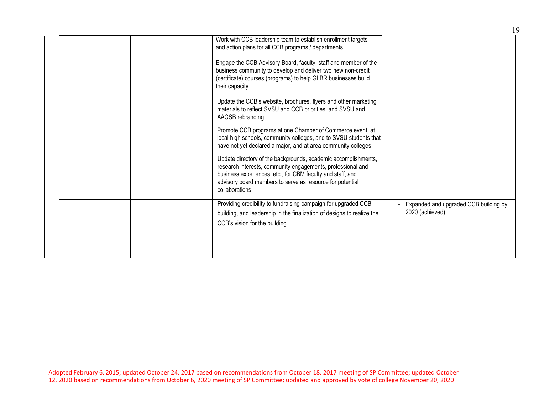|  | Work with CCB leadership team to establish enrollment targets<br>and action plans for all CCB programs / departments<br>Engage the CCB Advisory Board, faculty, staff and member of the<br>business community to develop and deliver two new non-credit<br>(certificate) courses (programs) to help GLBR businesses build<br>their capacity<br>Update the CCB's website, brochures, flyers and other marketing<br>materials to reflect SVSU and CCB priorities, and SVSU and<br>AACSB rebranding<br>Promote CCB programs at one Chamber of Commerce event, at<br>local high schools, community colleges, and to SVSU students that<br>have not yet declared a major, and at area community colleges<br>Update directory of the backgrounds, academic accomplishments,<br>research interests, community engagements, professional and<br>business experiences, etc., for CBM faculty and staff, and<br>advisory board members to serve as resource for potential<br>collaborations |                                                          |
|--|-----------------------------------------------------------------------------------------------------------------------------------------------------------------------------------------------------------------------------------------------------------------------------------------------------------------------------------------------------------------------------------------------------------------------------------------------------------------------------------------------------------------------------------------------------------------------------------------------------------------------------------------------------------------------------------------------------------------------------------------------------------------------------------------------------------------------------------------------------------------------------------------------------------------------------------------------------------------------------------|----------------------------------------------------------|
|  | Providing credibility to fundraising campaign for upgraded CCB<br>building, and leadership in the finalization of designs to realize the<br>CCB's vision for the building                                                                                                                                                                                                                                                                                                                                                                                                                                                                                                                                                                                                                                                                                                                                                                                                         | Expanded and upgraded CCB building by<br>2020 (achieved) |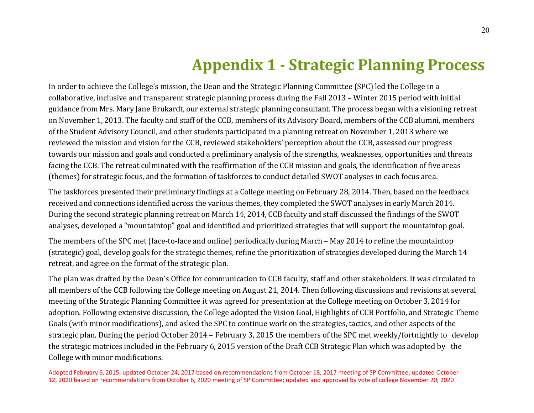### **Appendix 1 - Strategic Planning Process**

In order to achieve the College's mission, the Dean and the Strategic Planning Committee (SPC) led the College in a collaborative, inclusive and transparent strategic planning process during the Fall 2013 – Winter 2015 period with initial guidance from Mrs. Mary Jane Brukardt, our external strategic planning consultant. The process began with a visioning retreat on November 1, 2013. The faculty and staff of the CCB, members of its Advisory Board, members of the CCB alumni, members of the Student Advisory Council, and other students participated in a planning retreat on November 1, 2013 where we reviewed the mission and vision for the CCB, reviewed stakeholders' perception about the CCB, assessed our progress towards our mission and goals and conducted a preliminary analysis of the strengths, weaknesses, opportunities and threats facing the CCB. The retreat culminated with the reaffirmation of the CCB mission and goals, the identification of five areas (themes) for strategic focus, and the formation of taskforces to conduct detailed SWOT analyses in each focus area.

The taskforces presented their preliminary findings at a College meeting on February 28, 2014. Then, based on the feedback received and connections identified across the various themes, they completed the SWOT analyses in early March 2014. During the second strategic planning retreat on March 14, 2014, CCB faculty and staff discussed the findings of the SWOT analyses, developed a "mountaintop" goal and identified and prioritized strategies that will support the mountaintop goal.

The members of the SPC met (face-to-face and online) periodically during March – May 2014 to refine the mountaintop (strategic) goal, develop goals for the strategic themes, refine the prioritization of strategies developed during the March 14 retreat, and agree on the format of the strategic plan.

The plan was drafted by the Dean's Office for communication to CCB faculty, staff and other stakeholders. It was circulated to all members of the CCB following the College meeting on August 21, 2014. Then following discussions and revisions at several meeting of the Strategic Planning Committee it was agreed for presentation at the College meeting on October 3, 2014 for adoption. Following extensive discussion, the College adopted the Vision Goal, Highlights of CCB Portfolio, and Strategic Theme Goals (with minor modifications), and asked the SPC to continue work on the strategies, tactics, and other aspects of the strategic plan. During the period October 2014 – February 3, 2015 the members of the SPC met weekly/fortnightly to develop the strategic matrices included in the February 6, 2015 version of the Draft CCB Strategic Plan which was adopted by the College with minor modifications.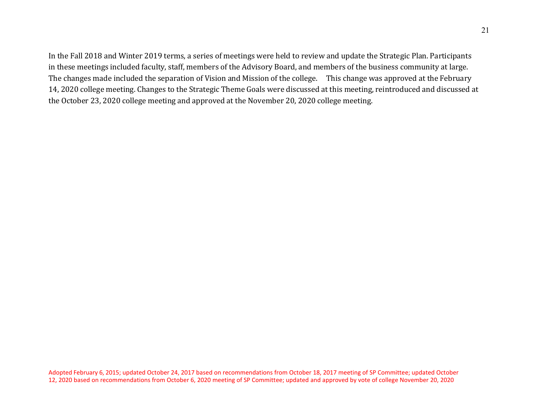In the Fall 2018 and Winter 2019 terms, a series of meetings were held to review and update the Strategic Plan. Participants in these meetings included faculty, staff, members of the Advisory Board, and members of the business community at large. The changes made included the separation of Vision and Mission of the college. This change was approved at the February 14, 2020 college meeting. Changes to the Strategic Theme Goals were discussed at this meeting, reintroduced and discussed at the October 23, 2020 college meeting and approved at the November 20, 2020 college meeting.